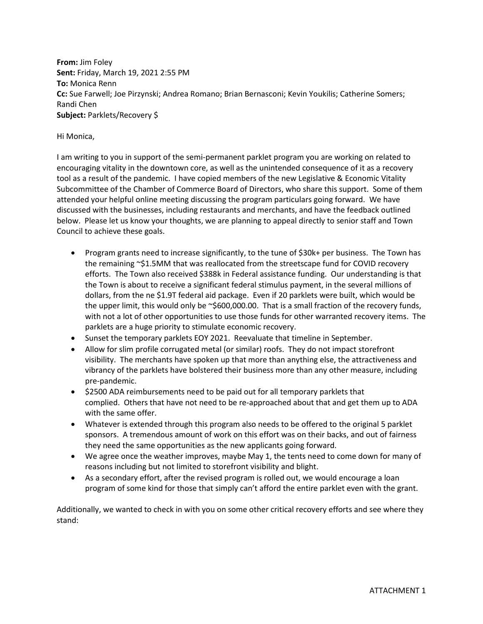**From:** Jim Foley **Sent:** Friday, March 19, 2021 2:55 PM **To:** Monica Renn **Cc:** Sue Farwell; Joe Pirzynski; Andrea Romano; Brian Bernasconi; Kevin Youkilis; Catherine Somers; Randi Chen **Subject:** Parklets/Recovery \$

## Hi Monica,

I am writing to you in support of the semi-permanent parklet program you are working on related to encouraging vitality in the downtown core, as well as the unintended consequence of it as a recovery tool as a result of the pandemic. I have copied members of the new Legislative & Economic Vitality Subcommittee of the Chamber of Commerce Board of Directors, who share this support. Some of them attended your helpful online meeting discussing the program particulars going forward. We have discussed with the businesses, including restaurants and merchants, and have the feedback outlined below. Please let us know your thoughts, we are planning to appeal directly to senior staff and Town Council to achieve these goals.

- Program grants need to increase significantly, to the tune of \$30k+ per business. The Town has the remaining ~\$1.5MM that was reallocated from the streetscape fund for COVID recovery efforts. The Town also received \$388k in Federal assistance funding. Our understanding is that the Town is about to receive a significant federal stimulus payment, in the several millions of dollars, from the ne \$1.9T federal aid package. Even if 20 parklets were built, which would be the upper limit, this would only be  $\sim$ \$600,000.00. That is a small fraction of the recovery funds, with not a lot of other opportunities to use those funds for other warranted recovery items. The parklets are a huge priority to stimulate economic recovery.
- Sunset the temporary parklets EOY 2021. Reevaluate that timeline in September.
- Allow for slim profile corrugated metal (or similar) roofs. They do not impact storefront visibility. The merchants have spoken up that more than anything else, the attractiveness and vibrancy of the parklets have bolstered their business more than any other measure, including pre-pandemic.
- \$2500 ADA reimbursements need to be paid out for all temporary parklets that complied. Others that have not need to be re-approached about that and get them up to ADA with the same offer.
- Whatever is extended through this program also needs to be offered to the original 5 parklet sponsors. A tremendous amount of work on this effort was on their backs, and out of fairness they need the same opportunities as the new applicants going forward.
- We agree once the weather improves, maybe May 1, the tents need to come down for many of reasons including but not limited to storefront visibility and blight.
- As a secondary effort, after the revised program is rolled out, we would encourage a loan program of some kind for those that simply can't afford the entire parklet even with the grant.

Additionally, we wanted to check in with you on some other critical recovery efforts and see where they stand: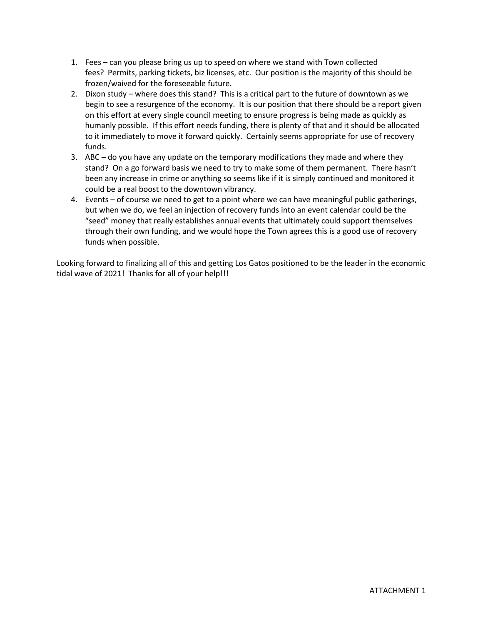- 1. Fees can you please bring us up to speed on where we stand with Town collected fees? Permits, parking tickets, biz licenses, etc. Our position is the majority of this should be frozen/waived for the foreseeable future.
- 2. Dixon study where does this stand? This is a critical part to the future of downtown as we begin to see a resurgence of the economy. It is our position that there should be a report given on this effort at every single council meeting to ensure progress is being made as quickly as humanly possible. If this effort needs funding, there is plenty of that and it should be allocated to it immediately to move it forward quickly. Certainly seems appropriate for use of recovery funds.
- 3. ABC do you have any update on the temporary modifications they made and where they stand? On a go forward basis we need to try to make some of them permanent. There hasn't been any increase in crime or anything so seems like if it is simply continued and monitored it could be a real boost to the downtown vibrancy.
- 4. Events of course we need to get to a point where we can have meaningful public gatherings, but when we do, we feel an injection of recovery funds into an event calendar could be the "seed" money that really establishes annual events that ultimately could support themselves through their own funding, and we would hope the Town agrees this is a good use of recovery funds when possible.

Looking forward to finalizing all of this and getting Los Gatos positioned to be the leader in the economic tidal wave of 2021! Thanks for all of your help!!!